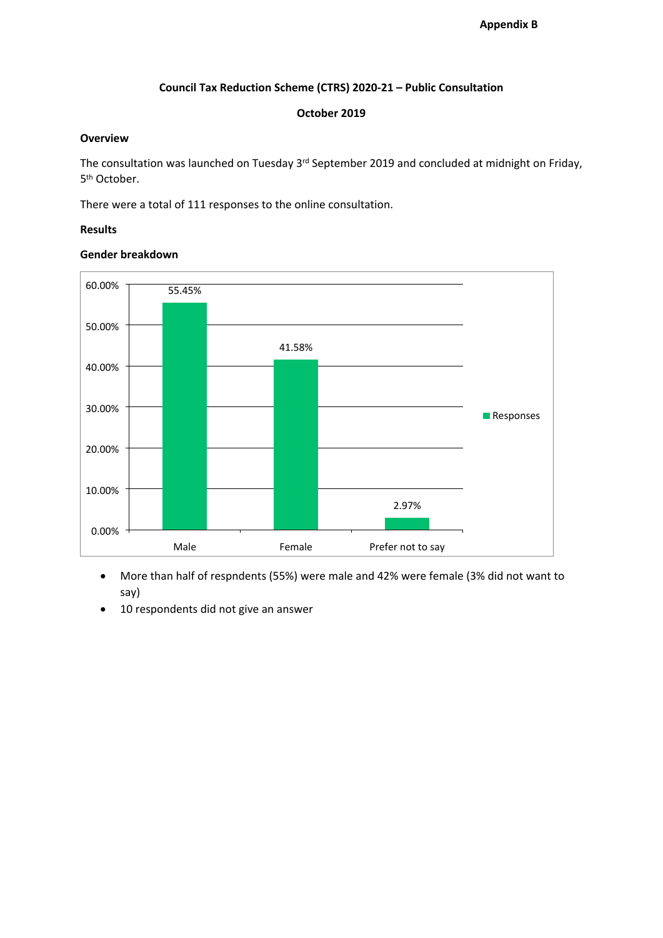# **Council Tax Reduction Scheme (CTRS) 2020-21 – Public Consultation**

#### **October 2019**

#### **Overview**

The consultation was launched on Tuesday 3<sup>rd</sup> September 2019 and concluded at midnight on Friday, 5 th October.

There were a total of 111 responses to the online consultation.

#### **Results**

# **Gender breakdown**



- More than half of respndents (55%) were male and 42% were female (3% did not want to say)
- 10 respondents did not give an answer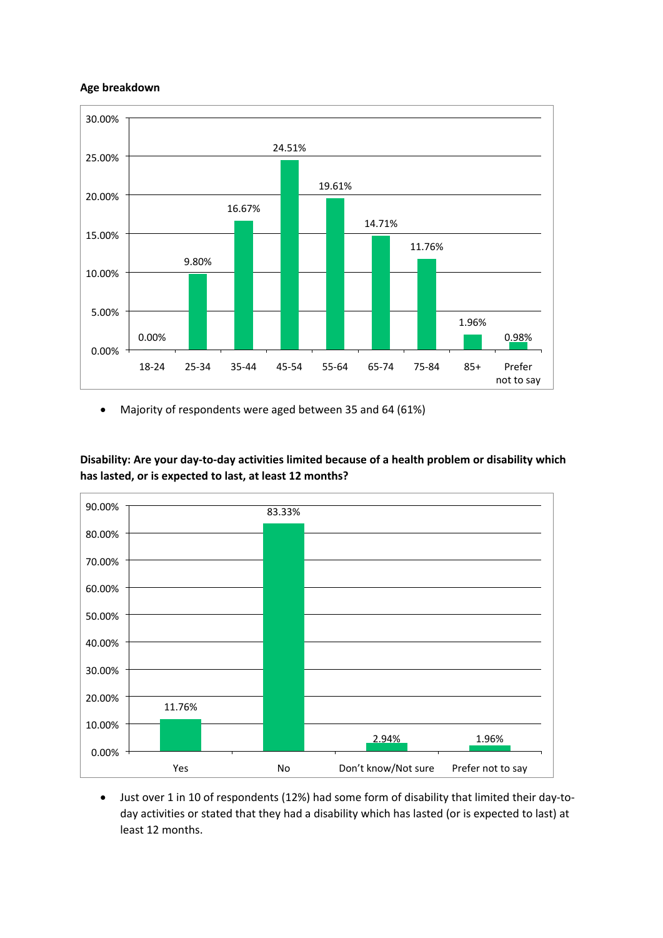# **Age breakdown**



Majority of respondents were aged between 35 and 64 (61%)

**Disability: Are your day-to-day activities limited because of a health problem or disability which has lasted, or is expected to last, at least 12 months?**



 Just over 1 in 10 of respondents (12%) had some form of disability that limited their day-today activities or stated that they had a disability which has lasted (or is expected to last) at least 12 months.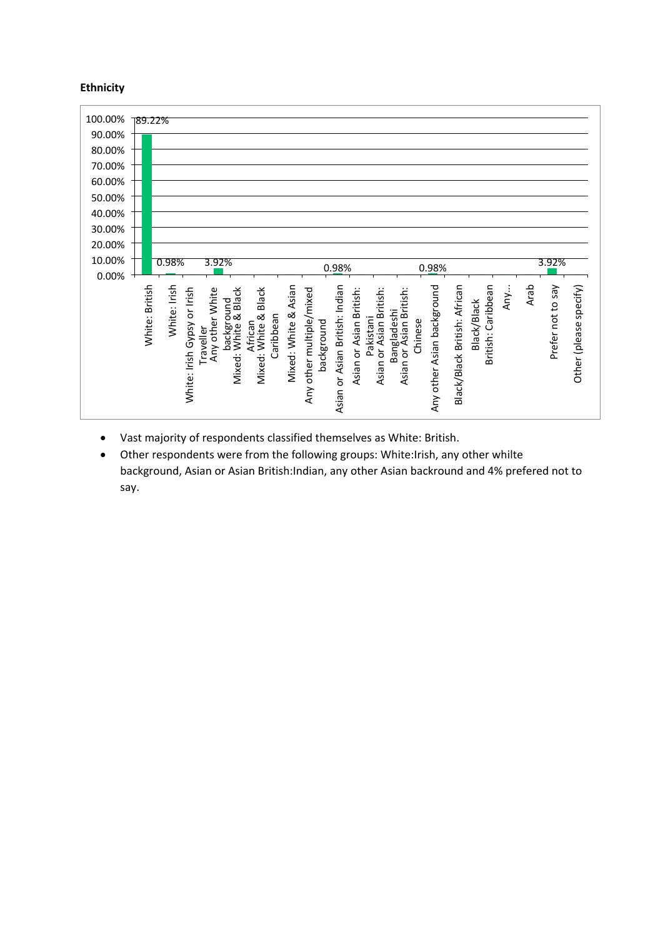# **Ethnicity**



- Vast majority of respondents classified themselves as White: British.
- Other respondents were from the following groups: White:Irish, any other whilte background, Asian or Asian British:Indian, any other Asian backround and 4% prefered not to say.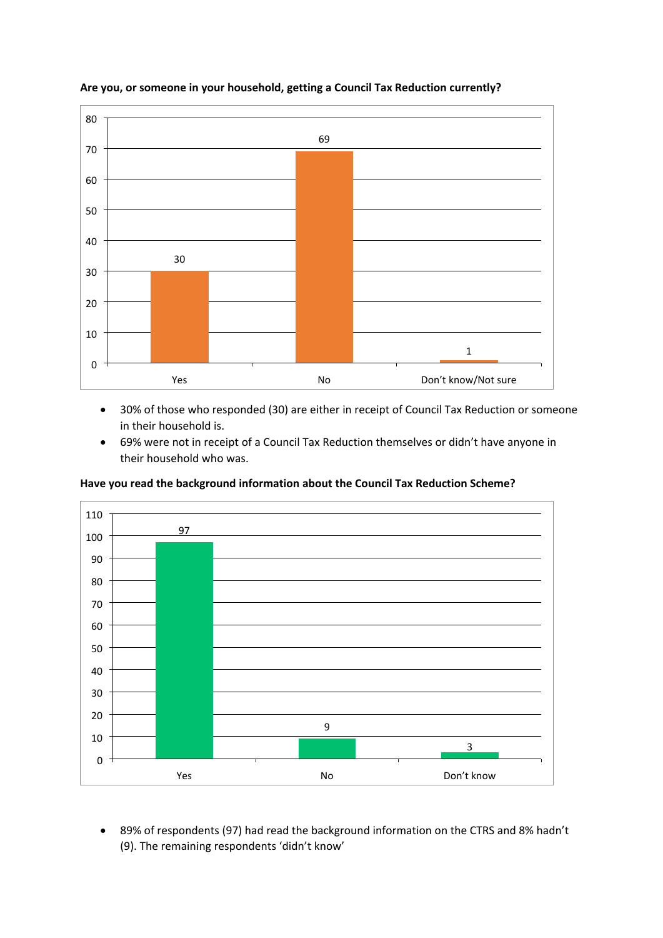

# **Are you, or someone in your household, getting a Council Tax Reduction currently?**

- 30% of those who responded (30) are either in receipt of Council Tax Reduction or someone in their household is.
- 69% were not in receipt of a Council Tax Reduction themselves or didn't have anyone in their household who was.



**Have you read the background information about the Council Tax Reduction Scheme?**

 89% of respondents (97) had read the background information on the CTRS and 8% hadn't (9). The remaining respondents 'didn't know'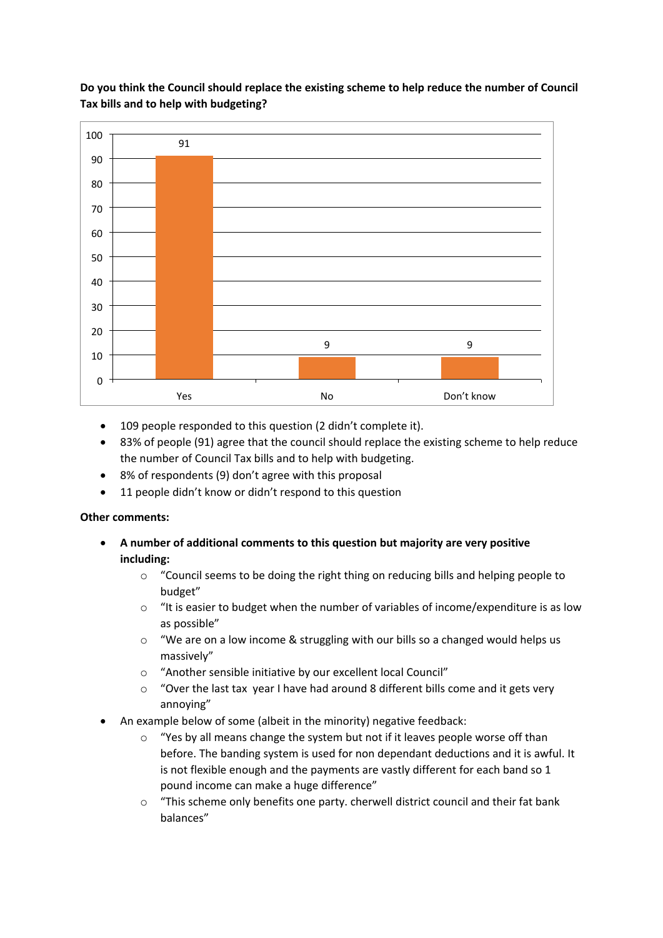

**Do you think the Council should replace the existing scheme to help reduce the number of Council Tax bills and to help with budgeting?**

- 109 people responded to this question (2 didn't complete it).
- 83% of people (91) agree that the council should replace the existing scheme to help reduce the number of Council Tax bills and to help with budgeting.
- 8% of respondents (9) don't agree with this proposal
- 11 people didn't know or didn't respond to this question

#### **Other comments:**

- **A number of additional comments to this question but majority are very positive including:**
	- $\circ$  "Council seems to be doing the right thing on reducing bills and helping people to budget"
	- o "It is easier to budget when the number of variables of income/expenditure is as low as possible"
	- $\circ$  "We are on a low income & struggling with our bills so a changed would helps us massively"
	- o "Another sensible initiative by our excellent local Council"
	- o "Over the last tax year I have had around 8 different bills come and it gets very annoying"
- An example below of some (albeit in the minority) negative feedback:
	- $\circ$  "Yes by all means change the system but not if it leaves people worse off than before. The banding system is used for non dependant deductions and it is awful. It is not flexible enough and the payments are vastly different for each band so 1 pound income can make a huge difference"
	- $\circ$  "This scheme only benefits one party. cherwell district council and their fat bank balances"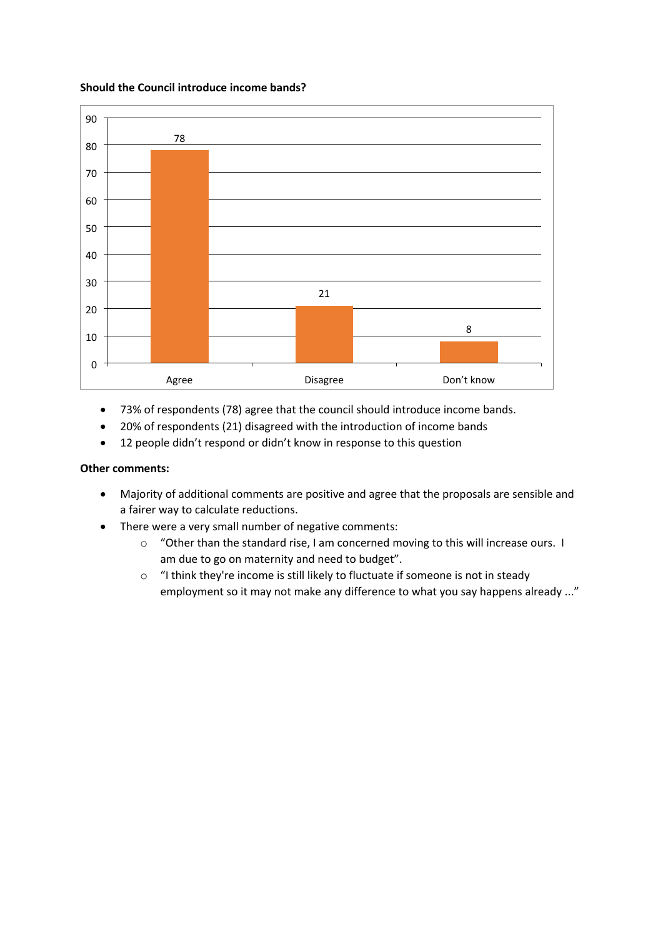#### **Should the Council introduce income bands?**



- 73% of respondents (78) agree that the council should introduce income bands.
- 20% of respondents (21) disagreed with the introduction of income bands
- 12 people didn't respond or didn't know in response to this question

# **Other comments:**

- Majority of additional comments are positive and agree that the proposals are sensible and a fairer way to calculate reductions.
- There were a very small number of negative comments:
	- o "Other than the standard rise, I am concerned moving to this will increase ours. I am due to go on maternity and need to budget".
	- o "I think they're income is still likely to fluctuate if someone is not in steady employment so it may not make any difference to what you say happens already ..."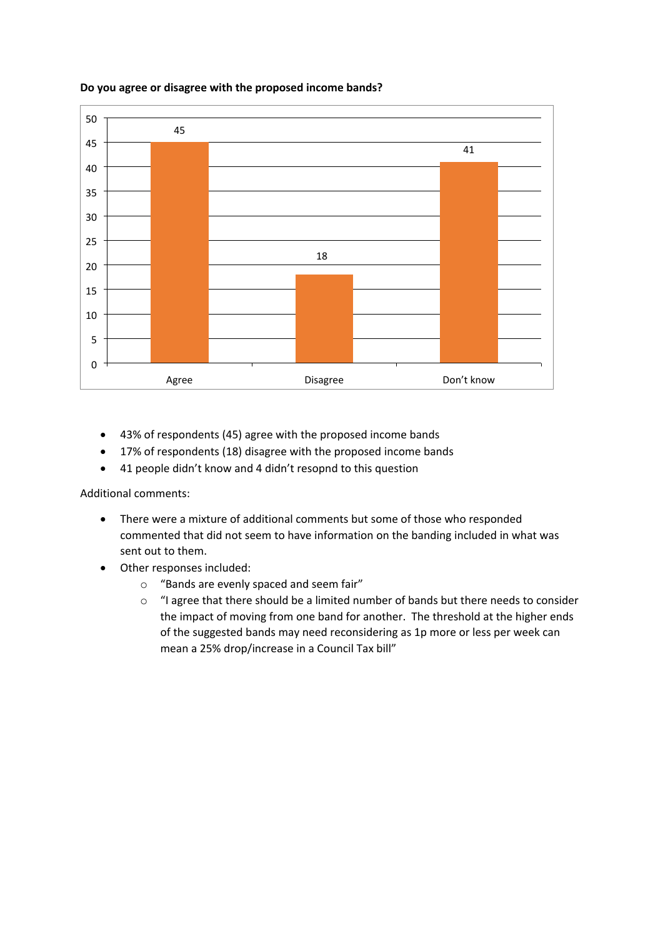

# **Do you agree or disagree with the proposed income bands?**

- 43% of respondents (45) agree with the proposed income bands
- 17% of respondents (18) disagree with the proposed income bands
- 41 people didn't know and 4 didn't resopnd to this question

Additional comments:

- There were a mixture of additional comments but some of those who responded commented that did not seem to have information on the banding included in what was sent out to them.
- Other responses included:
	- o "Bands are evenly spaced and seem fair"
	- $\circ$  "I agree that there should be a limited number of bands but there needs to consider the impact of moving from one band for another. The threshold at the higher ends of the suggested bands may need reconsidering as 1p more or less per week can mean a 25% drop/increase in a Council Tax bill"